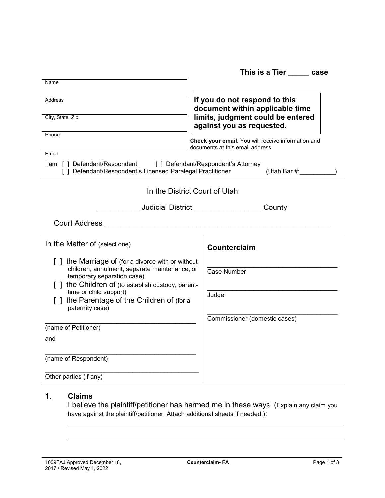|                                                                                                                                   | This is a Tier ______ case                                                             |  |  |
|-----------------------------------------------------------------------------------------------------------------------------------|----------------------------------------------------------------------------------------|--|--|
| Name                                                                                                                              |                                                                                        |  |  |
| <b>Address</b>                                                                                                                    | If you do not respond to this<br>document within applicable time                       |  |  |
| City, State, Zip                                                                                                                  | limits, judgment could be entered<br>against you as requested.                         |  |  |
| Phone                                                                                                                             | Check your email. You will receive information and<br>documents at this email address. |  |  |
| Email                                                                                                                             |                                                                                        |  |  |
| I am [] Defendant/Respondent [] Defendant/Respondent's Attorney<br>[] Defendant/Respondent's Licensed Paralegal Practitioner      | (Utah Bar $#$ :                                                                        |  |  |
| In the District Court of Utah                                                                                                     |                                                                                        |  |  |
| _____________Judicial District ____________________County                                                                         |                                                                                        |  |  |
| <b>Court Address</b><br><u> 1980 - Jan Barbara, martin a shekara 1980 - An</u>                                                    |                                                                                        |  |  |
| In the Matter of (select one)                                                                                                     | Counterclaim                                                                           |  |  |
| [ ] the Marriage of (for a divorce with or without<br>children, annulment, separate maintenance, or<br>temporary separation case) | Case Number                                                                            |  |  |
| [ ] the Children of (to establish custody, parent-<br>time or child support)<br>[] the Parentage of the Children of (for a        | Judge                                                                                  |  |  |
| paternity case)                                                                                                                   | Commissioner (domestic cases)                                                          |  |  |
| (name of Petitioner)                                                                                                              |                                                                                        |  |  |
| and                                                                                                                               |                                                                                        |  |  |
| (name of Respondent)                                                                                                              |                                                                                        |  |  |
| Other parties (if any)                                                                                                            |                                                                                        |  |  |

## 1. **Claims**

I believe the plaintiff/petitioner has harmed me in these ways (Explain any claim you have against the plaintiff/petitioner. Attach additional sheets if needed.):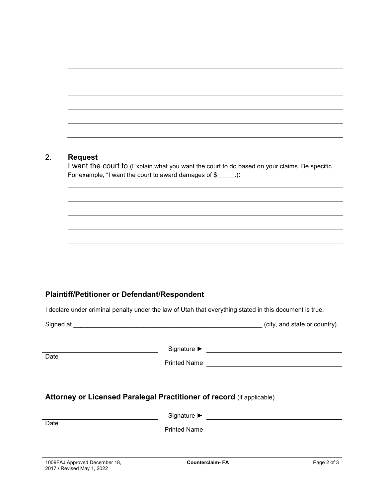## 2. **Request**

I want the court to (Explain what you want the court to do based on your claims. Be specific. For example, "I want the court to award damages of \$

## **Plaintiff/Petitioner or Defendant/Respondent**

I declare under criminal penalty under the law of Utah that everything stated in this document is true.

|                                                             |                                                                       | (city, and state or country). |
|-------------------------------------------------------------|-----------------------------------------------------------------------|-------------------------------|
| Date                                                        | Printed Name                                                          |                               |
| Date                                                        | Attorney or Licensed Paralegal Practitioner of record (if applicable) |                               |
|                                                             |                                                                       |                               |
| 1009FAJ Approved December 18,<br>2017 / Revised May 1, 2022 | <b>Counterclaim-FA</b>                                                | Page 2 of 3                   |